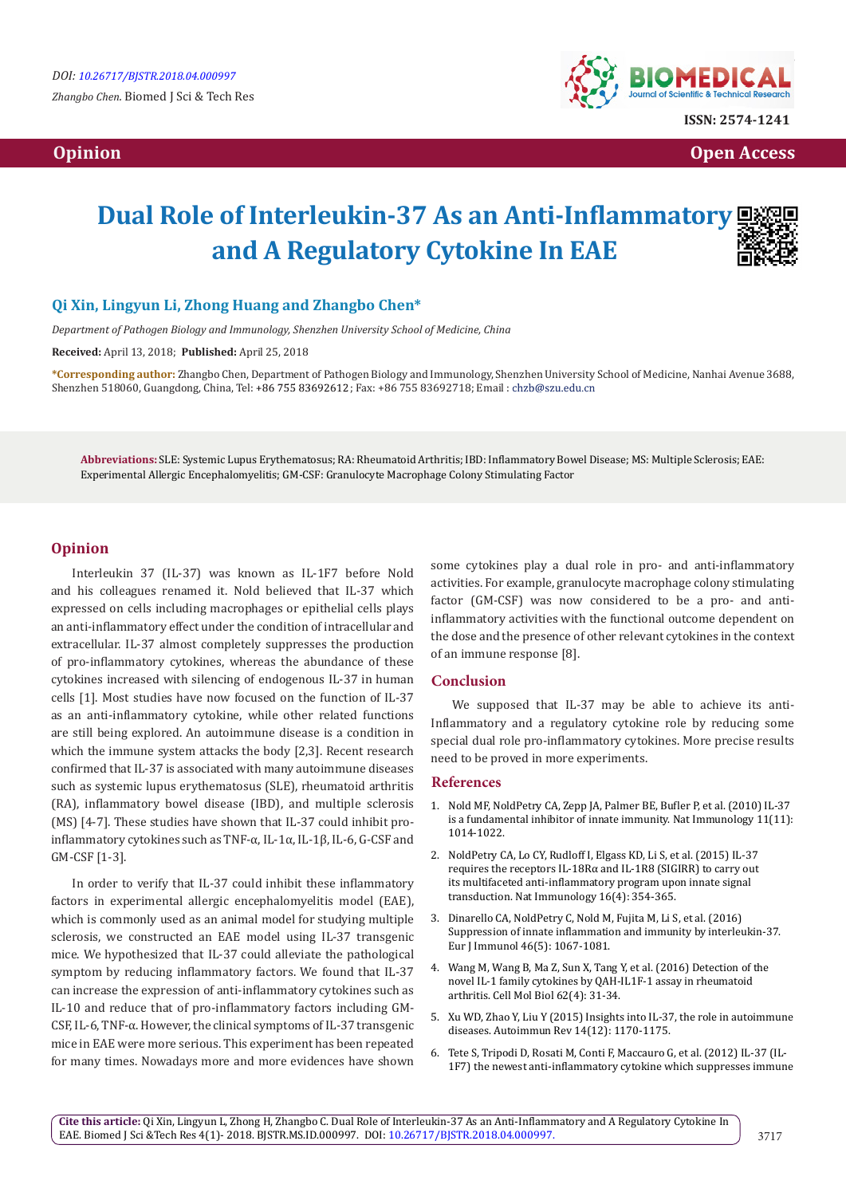

*<u>Opinion</u> Opinion* **<b>Open Access** *Contract Contract Contract Contract Contract Contract Contract Contract Contract Contract Contract Contract Contract Contract Contract Contract Contract Contract Contract Contract C* 

# **Dual Role of Interleukin-37 As an Anti-Inflammatory and A Regulatory Cytokine In EAE**

## **Qi Xin, Lingyun Li, Zhong Huang and Zhangbo Chen\***

*Department of Pathogen Biology and Immunology, Shenzhen University School of Medicine, China*

**Received:** April 13, 2018; **Published:** April 25, 2018

**\*Corresponding author:** Zhangbo Chen, Department of Pathogen Biology and Immunology, Shenzhen University School of Medicine, Nanhai Avenue 3688, Shenzhen 518060, Guangdong, China, Tel: +86 755 83692612; Fax: +86 755 83692718; Email: chzb@szu.edu.cn

**Abbreviations:** SLE: Systemic Lupus Erythematosus; RA: Rheumatoid Arthritis; IBD: Inflammatory Bowel Disease; MS: Multiple Sclerosis; EAE: Experimental Allergic Encephalomyelitis; GM-CSF: Granulocyte Macrophage Colony Stimulating Factor

#### **Opinion**

Interleukin 37 (IL-37) was known as IL-1F7 before Nold and his colleagues renamed it. Nold believed that IL-37 which expressed on cells including macrophages or epithelial cells plays an anti-inflammatory effect under the condition of intracellular and extracellular. IL-37 almost completely suppresses the production of pro-inflammatory cytokines, whereas the abundance of these cytokines increased with silencing of endogenous IL-37 in human cells [1]. Most studies have now focused on the function of IL-37 as an anti-inflammatory cytokine, while other related functions are still being explored. An autoimmune disease is a condition in which the immune system attacks the body [2,3]. Recent research confirmed that IL-37 is associated with many autoimmune diseases such as systemic lupus erythematosus (SLE), rheumatoid arthritis (RA), inflammatory bowel disease (IBD), and multiple sclerosis (MS) [4-7]. These studies have shown that IL-37 could inhibit proinflammatory cytokines such as TNF-α, IL-1α, IL-1β, IL-6, G-CSF and GM-CSF [1-3].

In order to verify that IL-37 could inhibit these inflammatory factors in experimental allergic encephalomyelitis model (EAE), which is commonly used as an animal model for studying multiple sclerosis, we constructed an EAE model using IL-37 transgenic mice. We hypothesized that IL-37 could alleviate the pathological symptom by reducing inflammatory factors. We found that IL-37 can increase the expression of anti-inflammatory cytokines such as IL-10 and reduce that of pro-inflammatory factors including GM-CSF, IL-6, TNF-α. However, the clinical symptoms of IL-37 transgenic mice in EAE were more serious. This experiment has been repeated for many times. Nowadays more and more evidences have shown some cytokines play a dual role in pro- and anti-inflammatory activities. For example, granulocyte macrophage colony stimulating factor (GM-CSF) was now considered to be a pro- and antiinflammatory activities with the functional outcome dependent on the dose and the presence of other relevant cytokines in the context of an immune response [8].

#### **Conclusion**

We supposed that IL-37 may be able to achieve its anti-Inflammatory and a regulatory cytokine role by reducing some special dual role pro-inflammatory cytokines. More precise results need to be proved in more experiments.

#### **References**

- 1. [Nold MF, NoldPetry CA, Zepp JA, Palmer BE, Bufler P, et al. \(2010\) IL-37](https://www.nature.com/articles/ni.1944)  [is a fundamental inhibitor of innate immunity. Nat Immunology 11\(11\):](https://www.nature.com/articles/ni.1944)  [1014-1022.](https://www.nature.com/articles/ni.1944)
- 2. [NoldPetry CA, Lo CY, Rudloff I, Elgass KD, Li S, et al. \(2015\) IL-37](https://www.ncbi.nlm.nih.gov/pubmed/25729923)  [requires the receptors IL-18Rα and IL-1R8 \(SIGIRR\) to carry out](https://www.ncbi.nlm.nih.gov/pubmed/25729923)  [its multifaceted anti-inflammatory program upon innate signal](https://www.ncbi.nlm.nih.gov/pubmed/25729923)  [transduction. Nat Immunology 16\(4\): 354-365.](https://www.ncbi.nlm.nih.gov/pubmed/25729923)
- 3. [Dinarello CA, NoldPetry C, Nold M, Fujita M, Li S, et al. \(2016\)](https://www.ncbi.nlm.nih.gov/pubmed/27060871)  [Suppression of innate inflammation and immunity by interleukin-37.](https://www.ncbi.nlm.nih.gov/pubmed/27060871)  [Eur J Immunol 46\(5\): 1067-1081.](https://www.ncbi.nlm.nih.gov/pubmed/27060871)
- 4. [Wang M, Wang B, Ma Z, Sun X, Tang Y, et al. \(2016\) Detection of the](https://www.ncbi.nlm.nih.gov/pubmed/27188731)  [novel IL-1 family cytokines by QAH-IL1F-1 assay in rheumatoid](https://www.ncbi.nlm.nih.gov/pubmed/27188731)  [arthritis. Cell Mol Biol 62\(4\): 31-34.](https://www.ncbi.nlm.nih.gov/pubmed/27188731)
- 5. [Xu WD, Zhao Y, Liu Y \(2015\) Insights into IL-37, the role in autoimmune](https://www.ncbi.nlm.nih.gov/pubmed/26264940)  [diseases. Autoimmun Rev 14\(12\): 1170-1175.](https://www.ncbi.nlm.nih.gov/pubmed/26264940)
- 6. [Tete S, Tripodi D, Rosati M, Conti F, Maccauro G, et al. \(2012\) IL-37 \(IL-](https://www.ncbi.nlm.nih.gov/pubmed/22507315)[1F7\) the newest anti-inflammatory cytokine which suppresses immune](https://www.ncbi.nlm.nih.gov/pubmed/22507315)